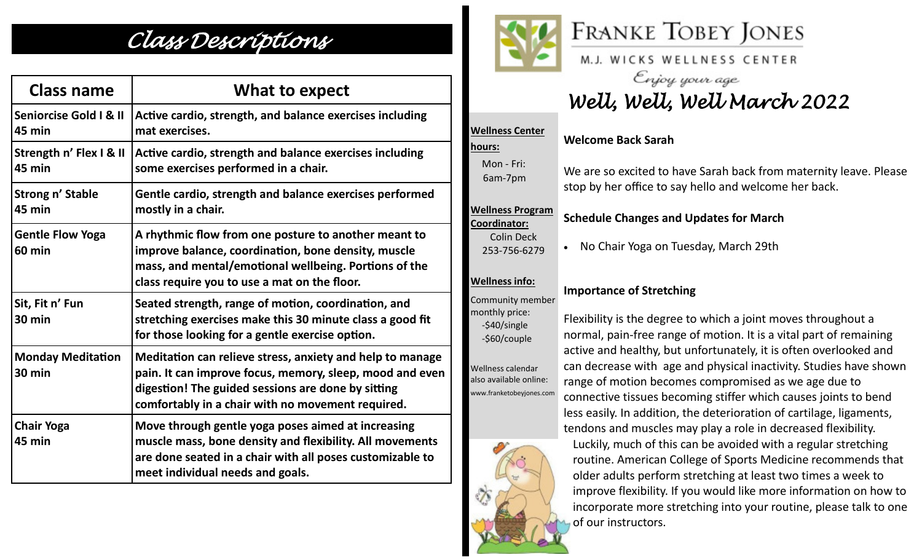## *Class Descriptions*

| <b>Class name</b>                        | What to expect                                                                                                                                                                                                                   |
|------------------------------------------|----------------------------------------------------------------------------------------------------------------------------------------------------------------------------------------------------------------------------------|
| Seniorcise Gold I & II<br>45 min         | Active cardio, strength, and balance exercises including<br>mat exercises.                                                                                                                                                       |
| Strength n' Flex I & II<br>45 min        | Active cardio, strength and balance exercises including<br>some exercises performed in a chair.                                                                                                                                  |
| <b>Strong n' Stable</b><br><b>45 min</b> | Gentle cardio, strength and balance exercises performed<br>mostly in a chair.                                                                                                                                                    |
| <b>Gentle Flow Yoga</b><br><b>60 min</b> | A rhythmic flow from one posture to another meant to<br>improve balance, coordination, bone density, muscle<br>mass, and mental/emotional wellbeing. Portions of the<br>class require you to use a mat on the floor.             |
| Sit, Fit n' Fun<br>30 min                | Seated strength, range of motion, coordination, and<br>stretching exercises make this 30 minute class a good fit<br>for those looking for a gentle exercise option.                                                              |
| <b>Monday Meditation</b><br>30 min       | Meditation can relieve stress, anxiety and help to manage<br>pain. It can improve focus, memory, sleep, mood and even<br>digestion! The guided sessions are done by sitting<br>comfortably in a chair with no movement required. |
| <b>Chair Yoga</b><br>45 min              | Move through gentle yoga poses aimed at increasing<br>muscle mass, bone density and flexibility. All movements<br>are done seated in a chair with all poses customizable to<br>meet individual needs and goals.                  |



**Wellness Center** 

 Mon - Fri: 6am-7pm

**Wellness Program Coordinator:**

> Colin Deck 253-756-6279

**hours:** 

# **FRANKE TOBEY JONES**

M.J. WICKS WELLNESS CENTER

Enjoy your age *Well, Well, Well March 2022*

### **Welcome Back Sarah**

We are so excited to have Sarah back from maternity leave. Please stop by her office to say hello and welcome her back.

### **Schedule Changes and Updates for March**

• No Chair Yoga on Tuesday, March 29th

### **Wellness info:**

### **Importance of Stretching**

monthly price: -\$40/single -\$60/couple Wellness calendar

also available online: www.franketobeyjones.com

Community member

Flexibility is the degree to which a joint moves throughout a normal, pain-free range of motion. It is a vital part of remaining active and healthy, but unfortunately, it is often overlooked and can decrease with age and physical inactivity. Studies have shown range of motion becomes compromised as we age due to connective tissues becoming stiffer which causes joints to bend less easily. In addition, the deterioration of cartilage, ligaments,

tendons and muscles may play a role in decreased flexibility. Luckily, much of this can be avoided with a regular stretching routine. American College of Sports Medicine recommends that older adults perform stretching at least two times a week to improve flexibility. If you would like more information on how to incorporate more stretching into your routine, please talk to one of our instructors.